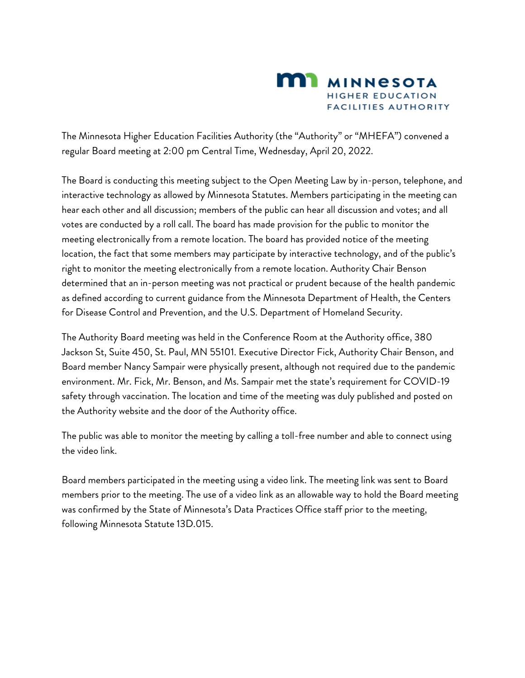

The Minnesota Higher Education Facilities Authority (the "Authority" or "MHEFA") convened a regular Board meeting at 2:00 pm Central Time, Wednesday, April 20, 2022.

The Board is conducting this meeting subject to the Open Meeting Law by in-person, telephone, and interactive technology as allowed by Minnesota Statutes. Members participating in the meeting can hear each other and all discussion; members of the public can hear all discussion and votes; and all votes are conducted by a roll call. The board has made provision for the public to monitor the meeting electronically from a remote location. The board has provided notice of the meeting location, the fact that some members may participate by interactive technology, and of the public's right to monitor the meeting electronically from a remote location. Authority Chair Benson determined that an in-person meeting was not practical or prudent because of the health pandemic as defined according to current guidance from the Minnesota Department of Health, the Centers for Disease Control and Prevention, and the U.S. Department of Homeland Security.

The Authority Board meeting was held in the Conference Room at the Authority office, 380 Jackson St, Suite 450, St. Paul, MN 55101. Executive Director Fick, Authority Chair Benson, and Board member Nancy Sampair were physically present, although not required due to the pandemic environment. Mr. Fick, Mr. Benson, and Ms. Sampair met the state's requirement for COVID-19 safety through vaccination. The location and time of the meeting was duly published and posted on the Authority website and the door of the Authority office.

The public was able to monitor the meeting by calling a toll-free number and able to connect using the video link.

Board members participated in the meeting using a video link. The meeting link was sent to Board members prior to the meeting. The use of a video link as an allowable way to hold the Board meeting was confirmed by the State of Minnesota's Data Practices Office staff prior to the meeting, following Minnesota Statute 13D.015.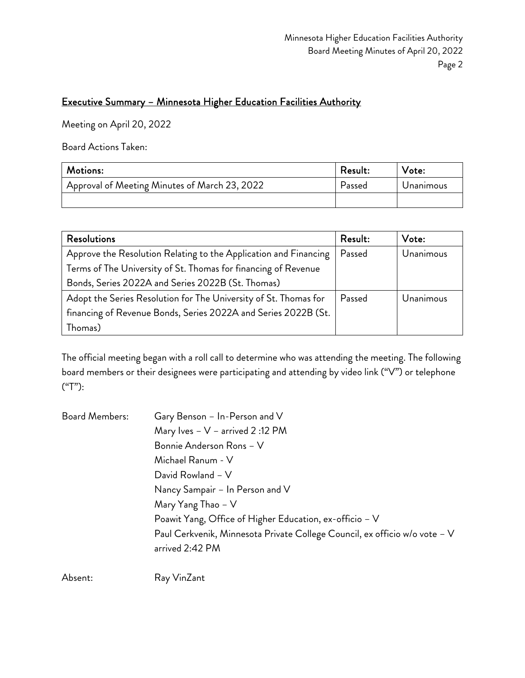# Executive Summary – Minnesota Higher Education Facilities Authority

Meeting on April 20, 2022

Board Actions Taken:

| Motions:                                      | Result: | Vote:     |
|-----------------------------------------------|---------|-----------|
| Approval of Meeting Minutes of March 23, 2022 | Passed  | Unanimous |
|                                               |         |           |

| <b>Resolutions</b>                                               | Result: | Vote:     |
|------------------------------------------------------------------|---------|-----------|
| Approve the Resolution Relating to the Application and Financing | Passed  | Unanimous |
| Terms of The University of St. Thomas for financing of Revenue   |         |           |
| Bonds, Series 2022A and Series 2022B (St. Thomas)                |         |           |
| Adopt the Series Resolution for The University of St. Thomas for | Passed  | Unanimous |
| financing of Revenue Bonds, Series 2022A and Series 2022B (St.   |         |           |
| Thomas)                                                          |         |           |

The official meeting began with a roll call to determine who was attending the meeting. The following board members or their designees were participating and attending by video link ("V") or telephone ("T"):

| <b>Board Members:</b> | Gary Benson - In-Person and V                                              |
|-----------------------|----------------------------------------------------------------------------|
|                       | Mary Ives $ V$ $-$ arrived 2:12 PM                                         |
|                       | Bonnie Anderson Rons - V                                                   |
|                       | Michael Ranum - V                                                          |
|                       | David Rowland $-$ V                                                        |
|                       | Nancy Sampair - In Person and V                                            |
|                       | Mary Yang Thao - V                                                         |
|                       | Poawit Yang, Office of Higher Education, ex-officio - V                    |
|                       | Paul Cerkvenik, Minnesota Private College Council, ex officio w/o vote - V |
|                       | arrived 2:42 PM                                                            |
|                       |                                                                            |

Absent: Ray VinZant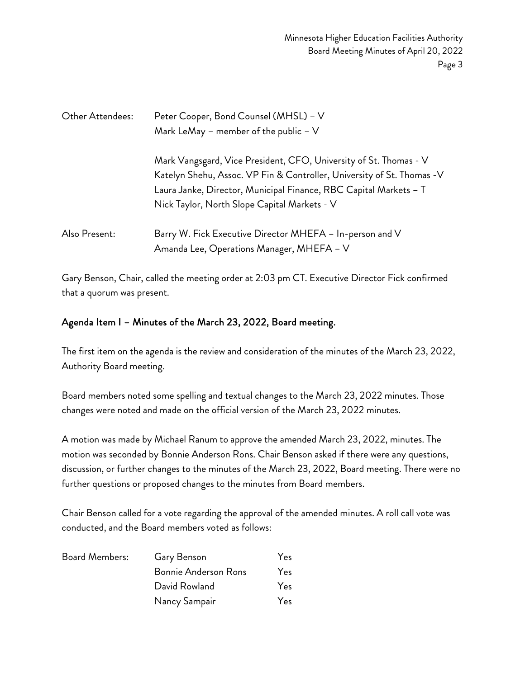| Other Attendees: | Peter Cooper, Bond Counsel (MHSL) - V<br>Mark LeMay - member of the public $-V$ |
|------------------|---------------------------------------------------------------------------------|
|                  | Mark Vangsgard, Vice President, CFO, University of St. Thomas - V               |
|                  | Katelyn Shehu, Assoc. VP Fin & Controller, University of St. Thomas - V         |
|                  | Laura Janke, Director, Municipal Finance, RBC Capital Markets - T               |
|                  | Nick Taylor, North Slope Capital Markets - V                                    |
| Also Present:    | Barry W. Fick Executive Director MHEFA - In-person and V                        |
|                  | Amanda Lee, Operations Manager, MHEFA - V                                       |

Gary Benson, Chair, called the meeting order at 2:03 pm CT. Executive Director Fick confirmed that a quorum was present.

#### Agenda Item I – Minutes of the March 23, 2022, Board meeting.

The first item on the agenda is the review and consideration of the minutes of the March 23, 2022, Authority Board meeting.

Board members noted some spelling and textual changes to the March 23, 2022 minutes. Those changes were noted and made on the official version of the March 23, 2022 minutes.

A motion was made by Michael Ranum to approve the amended March 23, 2022, minutes. The motion was seconded by Bonnie Anderson Rons. Chair Benson asked if there were any questions, discussion, or further changes to the minutes of the March 23, 2022, Board meeting. There were no further questions or proposed changes to the minutes from Board members.

Chair Benson called for a vote regarding the approval of the amended minutes. A roll call vote was conducted, and the Board members voted as follows:

| Board Members: | Gary Benson                 | Yes  |
|----------------|-----------------------------|------|
|                | <b>Bonnie Anderson Rons</b> | Yes: |
|                | David Rowland               | Yes. |
|                | Nancy Sampair               | Yes. |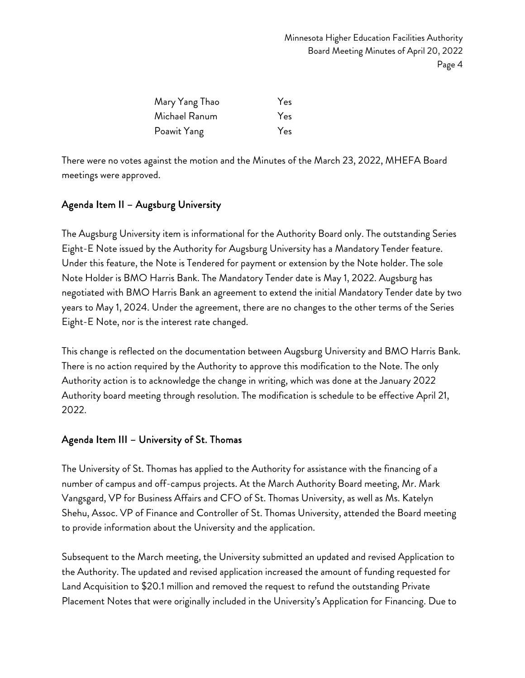| Mary Yang Thao | Yes |
|----------------|-----|
| Michael Ranum  | Yes |
| Poawit Yang    | Yes |

There were no votes against the motion and the Minutes of the March 23, 2022, MHEFA Board meetings were approved.

## Agenda Item II – Augsburg University

The Augsburg University item is informational for the Authority Board only. The outstanding Series Eight-E Note issued by the Authority for Augsburg University has a Mandatory Tender feature. Under this feature, the Note is Tendered for payment or extension by the Note holder. The sole Note Holder is BMO Harris Bank. The Mandatory Tender date is May 1, 2022. Augsburg has negotiated with BMO Harris Bank an agreement to extend the initial Mandatory Tender date by two years to May 1, 2024. Under the agreement, there are no changes to the other terms of the Series Eight-E Note, nor is the interest rate changed.

This change is reflected on the documentation between Augsburg University and BMO Harris Bank. There is no action required by the Authority to approve this modification to the Note. The only Authority action is to acknowledge the change in writing, which was done at the January 2022 Authority board meeting through resolution. The modification is schedule to be effective April 21, 2022.

#### Agenda Item III – University of St. Thomas

The University of St. Thomas has applied to the Authority for assistance with the financing of a number of campus and off-campus projects. At the March Authority Board meeting, Mr. Mark Vangsgard, VP for Business Affairs and CFO of St. Thomas University, as well as Ms. Katelyn Shehu, Assoc. VP of Finance and Controller of St. Thomas University, attended the Board meeting to provide information about the University and the application.

Subsequent to the March meeting, the University submitted an updated and revised Application to the Authority. The updated and revised application increased the amount of funding requested for Land Acquisition to \$20.1 million and removed the request to refund the outstanding Private Placement Notes that were originally included in the University's Application for Financing. Due to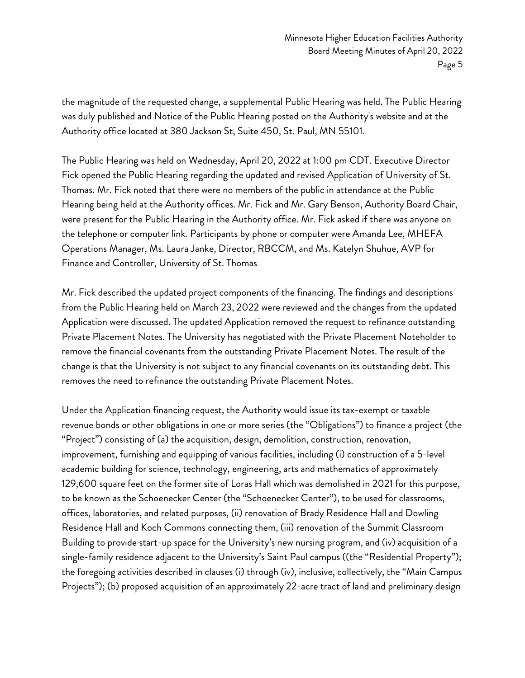the magnitude of the requested change, a supplemental Public Hearing was held. The Public Hearing was duly published and Notice of the Public Hearing posted on the Authority's website and at the Authority office located at 380 Jackson St, Suite 450, St. Paul, MN 55101.

The Public Hearing was held on Wednesday, April 20, 2022 at 1:00 pm CDT. Executive Director Fick opened the Public Hearing regarding the updated and revised Application of University of St. Thomas. Mr. Fick noted that there were no members of the public in attendance at the Public Hearing being held at the Authority offices. Mr. Fick and Mr. Gary Benson, Authority Board Chair, were present for the Public Hearing in the Authority office. Mr. Fick asked if there was anyone on the telephone or computer link. Participants by phone or computer were Amanda Lee, MHEFA Operations Manager, Ms. Laura Janke, Director, RBCCM, and Ms. Katelyn Shuhue, AVP for Finance and Controller, University of St. Thomas

Mr. Fick described the updated project components of the financing. The findings and descriptions from the Public Hearing held on March 23, 2022 were reviewed and the changes from the updated Application were discussed. The updated Application removed the request to refinance outstanding Private Placement Notes. The University has negotiated with the Private Placement Noteholder to remove the financial covenants from the outstanding Private Placement Notes. The result of the change is that the University is not subject to any financial covenants on its outstanding debt. This removes the need to refinance the outstanding Private Placement Notes.

Under the Application financing request, the Authority would issue its tax-exempt or taxable revenue bonds or other obligations in one or more series (the "Obligations") to finance a project (the "Project") consisting of (a) the acquisition, design, demolition, construction, renovation, improvement, furnishing and equipping of various facilities, including (i) construction of a 5-level academic building for science, technology, engineering, arts and mathematics of approximately 129,600 square feet on the former site of Loras Hall which was demolished in 2021 for this purpose, to be known as the Schoenecker Center (the "Schoenecker Center"), to be used for classrooms, offices, laboratories, and related purposes, (ii) renovation of Brady Residence Hall and Dowling Residence Hall and Koch Commons connecting them, (iii) renovation of the Summit Classroom Building to provide start-up space for the University's new nursing program, and (iv) acquisition of a single-family residence adjacent to the University's Saint Paul campus ((the "Residential Property"); the foregoing activities described in clauses (i) through (iv), inclusive, collectively, the "Main Campus Projects"); (b) proposed acquisition of an approximately 22-acre tract of land and preliminary design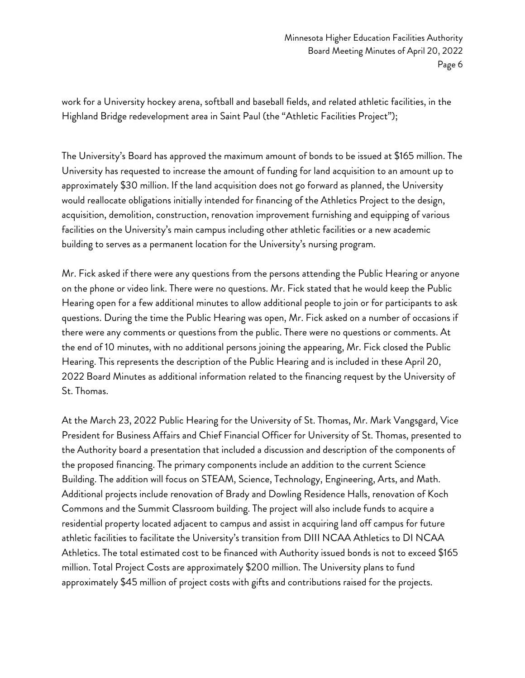work for a University hockey arena, softball and baseball fields, and related athletic facilities, in the Highland Bridge redevelopment area in Saint Paul (the "Athletic Facilities Project");

The University's Board has approved the maximum amount of bonds to be issued at \$165 million. The University has requested to increase the amount of funding for land acquisition to an amount up to approximately \$30 million. If the land acquisition does not go forward as planned, the University would reallocate obligations initially intended for financing of the Athletics Project to the design, acquisition, demolition, construction, renovation improvement furnishing and equipping of various facilities on the University's main campus including other athletic facilities or a new academic building to serves as a permanent location for the University's nursing program.

Mr. Fick asked if there were any questions from the persons attending the Public Hearing or anyone on the phone or video link. There were no questions. Mr. Fick stated that he would keep the Public Hearing open for a few additional minutes to allow additional people to join or for participants to ask questions. During the time the Public Hearing was open, Mr. Fick asked on a number of occasions if there were any comments or questions from the public. There were no questions or comments. At the end of 10 minutes, with no additional persons joining the appearing, Mr. Fick closed the Public Hearing. This represents the description of the Public Hearing and is included in these April 20, 2022 Board Minutes as additional information related to the financing request by the University of St. Thomas.

At the March 23, 2022 Public Hearing for the University of St. Thomas, Mr. Mark Vangsgard, Vice President for Business Affairs and Chief Financial Officer for University of St. Thomas, presented to the Authority board a presentation that included a discussion and description of the components of the proposed financing. The primary components include an addition to the current Science Building. The addition will focus on STEAM, Science, Technology, Engineering, Arts, and Math. Additional projects include renovation of Brady and Dowling Residence Halls, renovation of Koch Commons and the Summit Classroom building. The project will also include funds to acquire a residential property located adjacent to campus and assist in acquiring land off campus for future athletic facilities to facilitate the University's transition from DIII NCAA Athletics to DI NCAA Athletics. The total estimated cost to be financed with Authority issued bonds is not to exceed \$165 million. Total Project Costs are approximately \$200 million. The University plans to fund approximately \$45 million of project costs with gifts and contributions raised for the projects.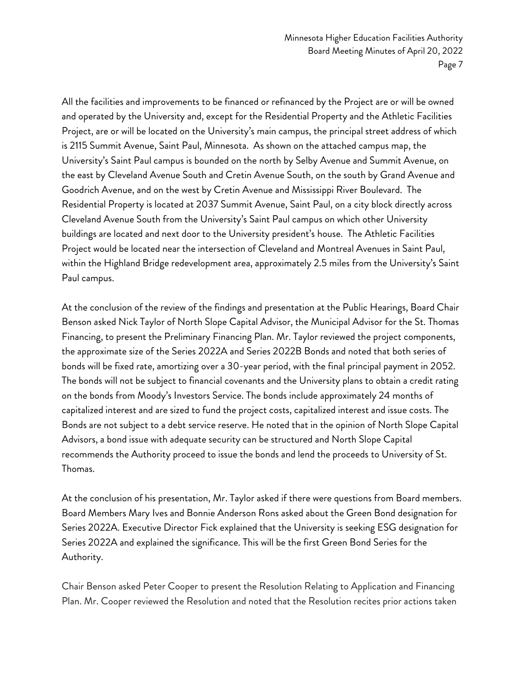All the facilities and improvements to be financed or refinanced by the Project are or will be owned and operated by the University and, except for the Residential Property and the Athletic Facilities Project, are or will be located on the University's main campus, the principal street address of which is 2115 Summit Avenue, Saint Paul, Minnesota. As shown on the attached campus map, the University's Saint Paul campus is bounded on the north by Selby Avenue and Summit Avenue, on the east by Cleveland Avenue South and Cretin Avenue South, on the south by Grand Avenue and Goodrich Avenue, and on the west by Cretin Avenue and Mississippi River Boulevard. The Residential Property is located at 2037 Summit Avenue, Saint Paul, on a city block directly across Cleveland Avenue South from the University's Saint Paul campus on which other University buildings are located and next door to the University president's house. The Athletic Facilities Project would be located near the intersection of Cleveland and Montreal Avenues in Saint Paul, within the Highland Bridge redevelopment area, approximately 2.5 miles from the University's Saint Paul campus.

At the conclusion of the review of the findings and presentation at the Public Hearings, Board Chair Benson asked Nick Taylor of North Slope Capital Advisor, the Municipal Advisor for the St. Thomas Financing, to present the Preliminary Financing Plan. Mr. Taylor reviewed the project components, the approximate size of the Series 2022A and Series 2022B Bonds and noted that both series of bonds will be fixed rate, amortizing over a 30-year period, with the final principal payment in 2052. The bonds will not be subject to financial covenants and the University plans to obtain a credit rating on the bonds from Moody's Investors Service. The bonds include approximately 24 months of capitalized interest and are sized to fund the project costs, capitalized interest and issue costs. The Bonds are not subject to a debt service reserve. He noted that in the opinion of North Slope Capital Advisors, a bond issue with adequate security can be structured and North Slope Capital recommends the Authority proceed to issue the bonds and lend the proceeds to University of St. Thomas.

At the conclusion of his presentation, Mr. Taylor asked if there were questions from Board members. Board Members Mary Ives and Bonnie Anderson Rons asked about the Green Bond designation for Series 2022A. Executive Director Fick explained that the University is seeking ESG designation for Series 2022A and explained the significance. This will be the first Green Bond Series for the Authority.

Chair Benson asked Peter Cooper to present the Resolution Relating to Application and Financing Plan. Mr. Cooper reviewed the Resolution and noted that the Resolution recites prior actions taken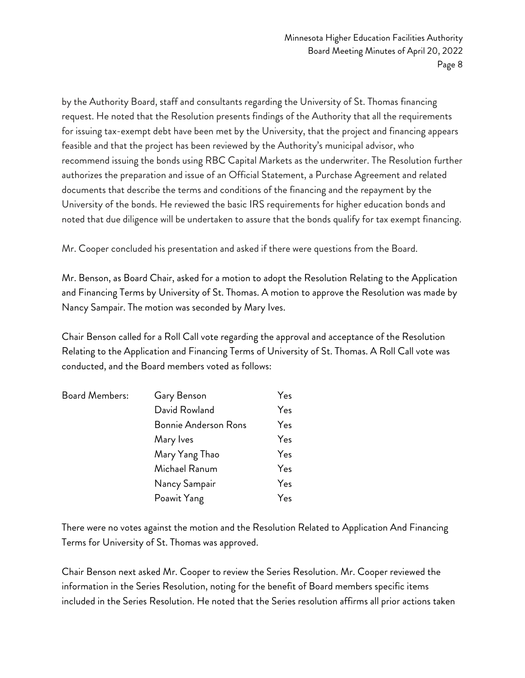by the Authority Board, staff and consultants regarding the University of St. Thomas financing request. He noted that the Resolution presents findings of the Authority that all the requirements for issuing tax-exempt debt have been met by the University, that the project and financing appears feasible and that the project has been reviewed by the Authority's municipal advisor, who recommend issuing the bonds using RBC Capital Markets as the underwriter. The Resolution further authorizes the preparation and issue of an Official Statement, a Purchase Agreement and related documents that describe the terms and conditions of the financing and the repayment by the University of the bonds. He reviewed the basic IRS requirements for higher education bonds and noted that due diligence will be undertaken to assure that the bonds qualify for tax exempt financing.

Mr. Cooper concluded his presentation and asked if there were questions from the Board.

Mr. Benson, as Board Chair, asked for a motion to adopt the Resolution Relating to the Application and Financing Terms by University of St. Thomas. A motion to approve the Resolution was made by Nancy Sampair. The motion was seconded by Mary Ives.

Chair Benson called for a Roll Call vote regarding the approval and acceptance of the Resolution Relating to the Application and Financing Terms of University of St. Thomas. A Roll Call vote was conducted, and the Board members voted as follows:

| <b>Board Members:</b> | Gary Benson                 | Yes |
|-----------------------|-----------------------------|-----|
|                       | David Rowland               | Yes |
|                       | <b>Bonnie Anderson Rons</b> | Yes |
|                       | Mary Ives                   | Yes |
|                       | Mary Yang Thao              | Yes |
|                       | Michael Ranum               | Yes |
|                       | Nancy Sampair               | Yes |
|                       | Poawit Yang                 | Yes |

There were no votes against the motion and the Resolution Related to Application And Financing Terms for University of St. Thomas was approved.

Chair Benson next asked Mr. Cooper to review the Series Resolution. Mr. Cooper reviewed the information in the Series Resolution, noting for the benefit of Board members specific items included in the Series Resolution. He noted that the Series resolution affirms all prior actions taken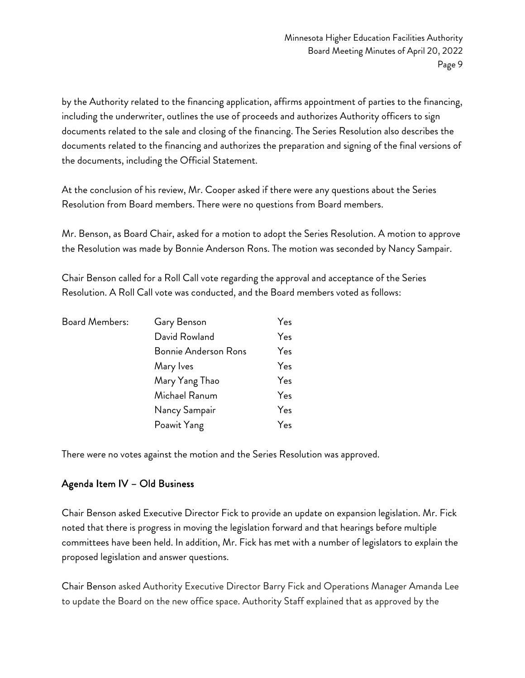by the Authority related to the financing application, affirms appointment of parties to the financing, including the underwriter, outlines the use of proceeds and authorizes Authority officers to sign documents related to the sale and closing of the financing. The Series Resolution also describes the documents related to the financing and authorizes the preparation and signing of the final versions of the documents, including the Official Statement.

At the conclusion of his review, Mr. Cooper asked if there were any questions about the Series Resolution from Board members. There were no questions from Board members.

Mr. Benson, as Board Chair, asked for a motion to adopt the Series Resolution. A motion to approve the Resolution was made by Bonnie Anderson Rons. The motion was seconded by Nancy Sampair.

Chair Benson called for a Roll Call vote regarding the approval and acceptance of the Series Resolution. A Roll Call vote was conducted, and the Board members voted as follows:

| <b>Board Members:</b> | Gary Benson                 | Yes |
|-----------------------|-----------------------------|-----|
|                       | David Rowland               | Yes |
|                       | <b>Bonnie Anderson Rons</b> | Yes |
|                       | Mary Ives                   | Yes |
|                       | Mary Yang Thao              | Yes |
|                       | Michael Ranum               | Yes |
|                       | Nancy Sampair               | Yes |
|                       | Poawit Yang                 | Yes |

There were no votes against the motion and the Series Resolution was approved.

## Agenda Item IV – Old Business

Chair Benson asked Executive Director Fick to provide an update on expansion legislation. Mr. Fick noted that there is progress in moving the legislation forward and that hearings before multiple committees have been held. In addition, Mr. Fick has met with a number of legislators to explain the proposed legislation and answer questions.

Chair Benson asked Authority Executive Director Barry Fick and Operations Manager Amanda Lee to update the Board on the new office space. Authority Staff explained that as approved by the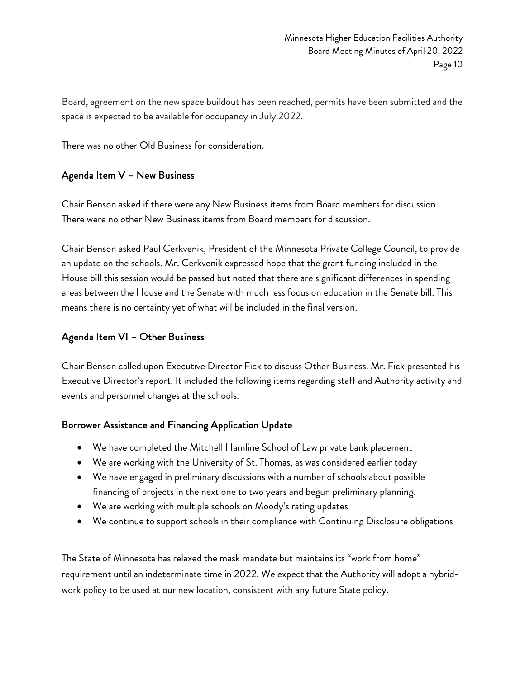Board, agreement on the new space buildout has been reached, permits have been submitted and the space is expected to be available for occupancy in July 2022.

There was no other Old Business for consideration.

#### Agenda Item V – New Business

Chair Benson asked if there were any New Business items from Board members for discussion. There were no other New Business items from Board members for discussion.

Chair Benson asked Paul Cerkvenik, President of the Minnesota Private College Council, to provide an update on the schools. Mr. Cerkvenik expressed hope that the grant funding included in the House bill this session would be passed but noted that there are significant differences in spending areas between the House and the Senate with much less focus on education in the Senate bill. This means there is no certainty yet of what will be included in the final version.

#### Agenda Item VI – Other Business

Chair Benson called upon Executive Director Fick to discuss Other Business. Mr. Fick presented his Executive Director's report. It included the following items regarding staff and Authority activity and events and personnel changes at the schools.

#### Borrower Assistance and Financing Application Update

- We have completed the Mitchell Hamline School of Law private bank placement
- We are working with the University of St. Thomas, as was considered earlier today
- We have engaged in preliminary discussions with a number of schools about possible financing of projects in the next one to two years and begun preliminary planning.
- We are working with multiple schools on Moody's rating updates
- We continue to support schools in their compliance with Continuing Disclosure obligations

The State of Minnesota has relaxed the mask mandate but maintains its "work from home" requirement until an indeterminate time in 2022. We expect that the Authority will adopt a hybridwork policy to be used at our new location, consistent with any future State policy.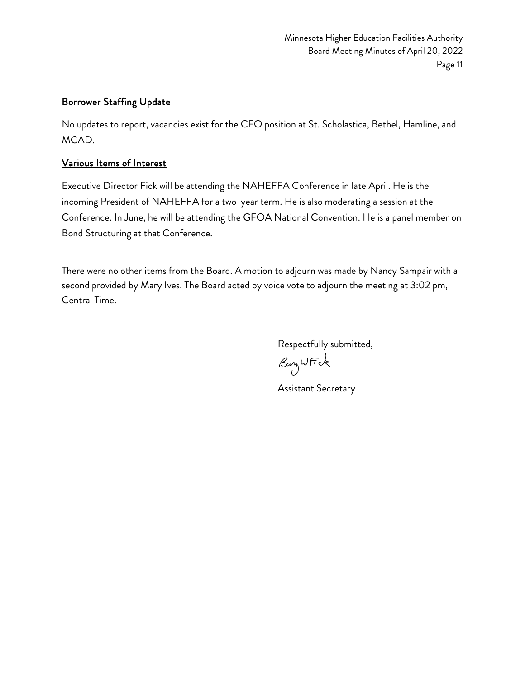## Borrower Staffing Update

No updates to report, vacancies exist for the CFO position at St. Scholastica, Bethel, Hamline, and MCAD.

#### Various Items of Interest

Executive Director Fick will be attending the NAHEFFA Conference in late April. He is the incoming President of NAHEFFA for a two-year term. He is also moderating a session at the Conference. In June, he will be attending the GFOA National Convention. He is a panel member on Bond Structuring at that Conference.

There were no other items from the Board. A motion to adjourn was made by Nancy Sampair with a second provided by Mary Ives. The Board acted by voice vote to adjourn the meeting at 3:02 pm, Central Time.

Respectfully submitted,

 $\beta$ ay WFK

Assistant Secretary